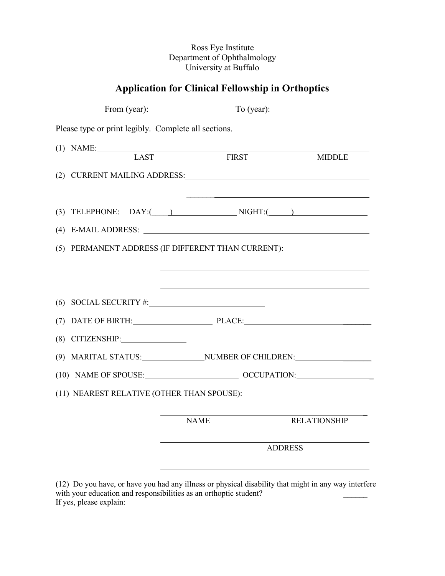## Ross Eye Institute Department of Ophthalmology University at Buffalo

## **Application for Clinical Fellowship in Orthoptics**

| Please type or print legibly. Complete all sections.              |                                                                                                                                                                                                                                |                     |  |  |
|-------------------------------------------------------------------|--------------------------------------------------------------------------------------------------------------------------------------------------------------------------------------------------------------------------------|---------------------|--|--|
| (1) NAME: LAST FIRST                                              |                                                                                                                                                                                                                                |                     |  |  |
|                                                                   |                                                                                                                                                                                                                                | <b>MIDDLE</b>       |  |  |
|                                                                   | (2) CURRENT MAILING ADDRESS: CONSTRUCTION CONTROL CONTROL CONTROL CONTROL CONTROL CONTROL CONTROL CONTROL CONTROL CONTROL CONTROL CONTROL CONTROL CONTROL CONTROL CONTROL CONTROL CONTROL CONTROL CONTROL CONTROL CONTROL CONT |                     |  |  |
|                                                                   |                                                                                                                                                                                                                                |                     |  |  |
|                                                                   | (3) TELEPHONE: $DAY:$ $\qquad \qquad$ NIGHT: $\qquad \qquad$                                                                                                                                                                   |                     |  |  |
|                                                                   | (4) E-MAIL ADDRESS: 2000 CONTEXTS: 2000 CONTEXTS AND THE CONTEXTS OF THE CONTEXTS OF THE CONTEXTS OF THE CONTEXTS OF THE CONTEXTS OF THE CONTEXTS OF THE CONTEXTS OF THE CONTEXTS OF THE CONTEXTS OF THE CONTEXTS OF THE CONTE |                     |  |  |
|                                                                   | (5) PERMANENT ADDRESS (IF DIFFERENT THAN CURRENT):                                                                                                                                                                             |                     |  |  |
|                                                                   |                                                                                                                                                                                                                                |                     |  |  |
|                                                                   |                                                                                                                                                                                                                                |                     |  |  |
| (6) SOCIAL SECURITY #:                                            |                                                                                                                                                                                                                                |                     |  |  |
|                                                                   | (7) DATE OF BIRTH: PLACE: PLACE:                                                                                                                                                                                               |                     |  |  |
| (8) CITIZENSHIP:                                                  |                                                                                                                                                                                                                                |                     |  |  |
|                                                                   | (9) MARITAL STATUS: NUMBER OF CHILDREN:                                                                                                                                                                                        |                     |  |  |
|                                                                   | (10) NAME OF SPOUSE: OCCUPATION:                                                                                                                                                                                               |                     |  |  |
| (11) NEAREST RELATIVE (OTHER THAN SPOUSE):                        |                                                                                                                                                                                                                                |                     |  |  |
|                                                                   |                                                                                                                                                                                                                                |                     |  |  |
|                                                                   | <b>NAME</b>                                                                                                                                                                                                                    | <b>RELATIONSHIP</b> |  |  |
|                                                                   |                                                                                                                                                                                                                                | <b>ADDRESS</b>      |  |  |
| with your education and responsibilities as an orthoptic student? | (12) Do you have, or have you had any illness or physical disability that might in any way interfere                                                                                                                           |                     |  |  |

If yes, please explain: <u>and the set of the set of the set of the set of the set of the set of the set of the set of the set of the set of the set of the set of the set of the set of the set of the set of the set of the se</u>